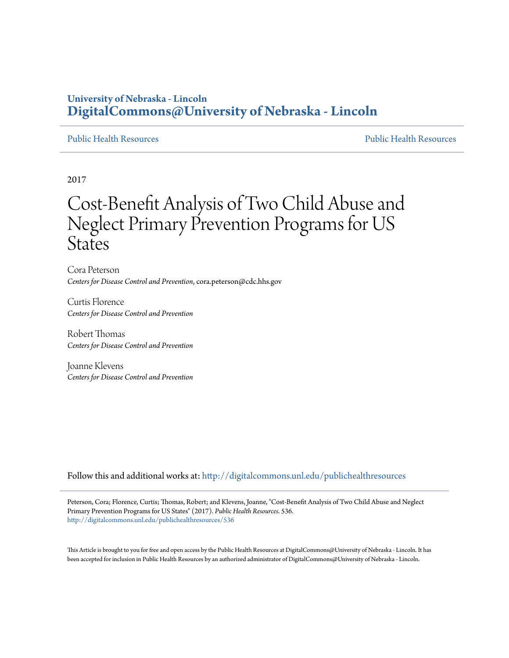## **University of Nebraska - Lincoln [DigitalCommons@University of Nebraska - Lincoln](http://digitalcommons.unl.edu?utm_source=digitalcommons.unl.edu%2Fpublichealthresources%2F536&utm_medium=PDF&utm_campaign=PDFCoverPages)**

[Public Health Resources](http://digitalcommons.unl.edu/publichealthresources?utm_source=digitalcommons.unl.edu%2Fpublichealthresources%2F536&utm_medium=PDF&utm_campaign=PDFCoverPages) [Public Health Resources](http://digitalcommons.unl.edu/publichealth?utm_source=digitalcommons.unl.edu%2Fpublichealthresources%2F536&utm_medium=PDF&utm_campaign=PDFCoverPages)

2017

# Cost-Benefit Analysis of Two Child Abuse and Neglect Primary Prevention Programs for US **States**

Cora Peterson *Centers for Disease Control and Prevention*, cora.peterson@cdc.hhs.gov

Curtis Florence *Centers for Disease Control and Prevention*

Robert Thomas *Centers for Disease Control and Prevention*

Joanne Klevens *Centers for Disease Control and Prevention*

Follow this and additional works at: [http://digitalcommons.unl.edu/publichealthresources](http://digitalcommons.unl.edu/publichealthresources?utm_source=digitalcommons.unl.edu%2Fpublichealthresources%2F536&utm_medium=PDF&utm_campaign=PDFCoverPages)

Peterson, Cora; Florence, Curtis; Thomas, Robert; and Klevens, Joanne, "Cost-Benefit Analysis of Two Child Abuse and Neglect Primary Prevention Programs for US States" (2017). *Public Health Resources*. 536. [http://digitalcommons.unl.edu/publichealthresources/536](http://digitalcommons.unl.edu/publichealthresources/536?utm_source=digitalcommons.unl.edu%2Fpublichealthresources%2F536&utm_medium=PDF&utm_campaign=PDFCoverPages)

This Article is brought to you for free and open access by the Public Health Resources at DigitalCommons@University of Nebraska - Lincoln. It has been accepted for inclusion in Public Health Resources by an authorized administrator of DigitalCommons@University of Nebraska - Lincoln.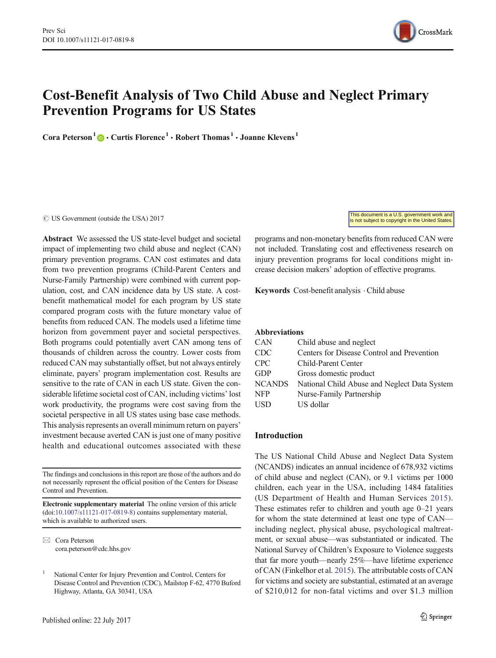

# Cost-Benefit Analysis of Two Child Abuse and Neglect Primary Prevention Programs for US States

Cora Peterson<sup>1</sup>  $\cdot$  Curtis Florence<sup>1</sup>  $\cdot$  Robert Thomas<sup>1</sup>  $\cdot$  Joanne Klevens<sup>1</sup>

 $\oslash$  US Government (outside the USA) 2017

Abstract We assessed the US state-level budget and societal impact of implementing two child abuse and neglect (CAN) primary prevention programs. CAN cost estimates and data from two prevention programs (Child-Parent Centers and Nurse-Family Partnership) were combined with current population, cost, and CAN incidence data by US state. A costbenefit mathematical model for each program by US state compared program costs with the future monetary value of benefits from reduced CAN. The models used a lifetime time horizon from government payer and societal perspectives. Both programs could potentially avert CAN among tens of thousands of children across the country. Lower costs from reduced CAN may substantially offset, but not always entirely eliminate, payers' program implementation cost. Results are sensitive to the rate of CAN in each US state. Given the considerable lifetime societal cost of CAN, including victims' lost work productivity, the programs were cost saving from the societal perspective in all US states using base case methods. This analysis represents an overall minimum return on payers' investment because averted CAN is just one of many positive health and educational outcomes associated with these

The findings and conclusions in this report are those of the authors and do not necessarily represent the official position of the Centers for Disease Control and Prevention.

Electronic supplementary material The online version of this article (doi[:10.1007/s11121-017-0819-8\)](http://dx.doi.org/10.1007/s11121-017-0819-8) contains supplementary material, which is available to authorized users.

 $\boxtimes$  Cora Peterson [cora.peterson@cdc.hhs.gov](mailto:cora.peterson@cdc.hhs.gov) This document is a U.S. government work and is not subject to copyright in the United States.

programs and non-monetary benefits from reduced CAN were not included. Translating cost and effectiveness research on injury prevention programs for local conditions might increase decision makers' adoption of effective programs.

Keywords Cost-benefit analysis . Child abuse

#### Abbreviations

| <b>CAN</b>    | Child abuse and neglect                      |
|---------------|----------------------------------------------|
| <b>CDC</b>    | Centers for Disease Control and Prevention   |
| <b>CPC</b>    | Child-Parent Center                          |
| <b>GDP</b>    | Gross domestic product                       |
| <b>NCANDS</b> | National Child Abuse and Neglect Data System |
| <b>NFP</b>    | Nurse-Family Partnership                     |
| <b>USD</b>    | US dollar                                    |

#### Introduction

The US National Child Abuse and Neglect Data System (NCANDS) indicates an annual incidence of 678,932 victims of child abuse and neglect (CAN), or 9.1 victims per 1000 children, each year in the USA, including 1484 fatalities (US Department of Health and Human Services [2015](#page-11-0)). These estimates refer to children and youth age 0–21 years for whom the state determined at least one type of CAN including neglect, physical abuse, psychological maltreatment, or sexual abuse—was substantiated or indicated. The National Survey of Children's Exposure to Violence suggests that far more youth—nearly 25%—have lifetime experience of CAN (Finkelhor et al. [2015\)](#page-10-0). The attributable costs of CAN for victims and society are substantial, estimated at an average of \$210,012 for non-fatal victims and over \$1.3 million

<sup>1</sup> National Center for Injury Prevention and Control, Centers for Disease Control and Prevention (CDC), Mailstop F-62, 4770 Buford Highway, Atlanta, GA 30341, USA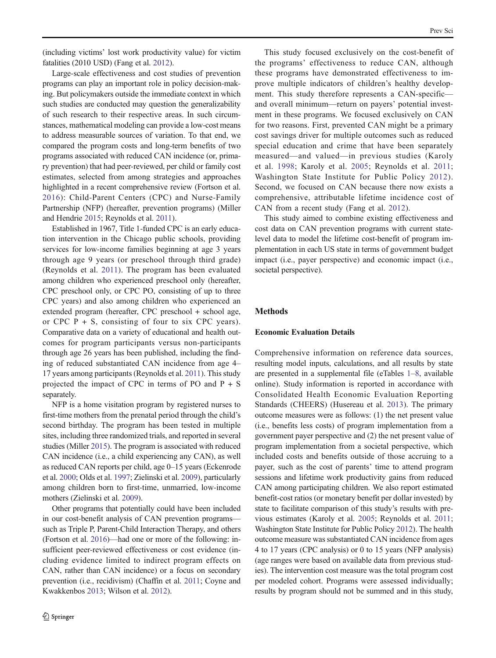(including victims' lost work productivity value) for victim fatalities (2010 USD) (Fang et al. [2012\)](#page-10-0).

Large-scale effectiveness and cost studies of prevention programs can play an important role in policy decision-making. But policymakers outside the immediate context in which such studies are conducted may question the generalizability of such research to their respective areas. In such circumstances, mathematical modeling can provide a low-cost means to address measurable sources of variation. To that end, we compared the program costs and long-term benefits of two programs associated with reduced CAN incidence (or, primary prevention) that had peer-reviewed, per child or family cost estimates, selected from among strategies and approaches highlighted in a recent comprehensive review (Fortson et al. [2016](#page-10-0)): Child-Parent Centers (CPC) and Nurse-Family Partnership (NFP) (hereafter, prevention programs) (Miller and Hendrie [2015](#page-11-0); Reynolds et al. [2011\)](#page-11-0).

Established in 1967, Title 1-funded CPC is an early education intervention in the Chicago public schools, providing services for low-income families beginning at age 3 years through age 9 years (or preschool through third grade) (Reynolds et al. [2011\)](#page-11-0). The program has been evaluated among children who experienced preschool only (hereafter, CPC preschool only, or CPC PO, consisting of up to three CPC years) and also among children who experienced an extended program (hereafter, CPC preschool + school age, or CPC  $P + S$ , consisting of four to six CPC years). Comparative data on a variety of educational and health outcomes for program participants versus non-participants through age 26 years has been published, including the finding of reduced substantiated CAN incidence from age 4– 17 years among participants (Reynolds et al. [2011](#page-11-0)). This study projected the impact of CPC in terms of PO and  $P + S$ separately.

NFP is a home visitation program by registered nurses to first-time mothers from the prenatal period through the child's second birthday. The program has been tested in multiple sites, including three randomized trials, and reported in several studies (Miller [2015\)](#page-11-0). The program is associated with reduced CAN incidence (i.e., a child experiencing any CAN), as well as reduced CAN reports per child, age 0–15 years (Eckenrode et al. [2000](#page-10-0); Olds et al. [1997](#page-11-0); Zielinski et al. [2009](#page-11-0)), particularly among children born to first-time, unmarried, low-income mothers (Zielinski et al. [2009\)](#page-11-0).

Other programs that potentially could have been included in our cost-benefit analysis of CAN prevention programs such as Triple P, Parent-Child Interaction Therapy, and others (Fortson et al. [2016](#page-10-0))—had one or more of the following: insufficient peer-reviewed effectiveness or cost evidence (including evidence limited to indirect program effects on CAN, rather than CAN incidence) or a focus on secondary prevention (i.e., recidivism) (Chaffin et al. [2011](#page-10-0); Coyne and Kwakkenbos [2013](#page-10-0); Wilson et al. [2012\)](#page-11-0).

This study focused exclusively on the cost-benefit of the programs' effectiveness to reduce CAN, although these programs have demonstrated effectiveness to improve multiple indicators of children's healthy development. This study therefore represents a CAN-specific and overall minimum—return on payers' potential investment in these programs. We focused exclusively on CAN for two reasons. First, prevented CAN might be a primary cost savings driver for multiple outcomes such as reduced special education and crime that have been separately measured—and valued—in previous studies (Karoly et al. [1998;](#page-11-0) Karoly et al. [2005;](#page-11-0) Reynolds et al. [2011;](#page-11-0) Washington State Institute for Public Policy [2012](#page-11-0)). Second, we focused on CAN because there now exists a comprehensive, attributable lifetime incidence cost of CAN from a recent study (Fang et al. [2012](#page-10-0)).

This study aimed to combine existing effectiveness and cost data on CAN prevention programs with current statelevel data to model the lifetime cost-benefit of program implementation in each US state in terms of government budget impact (i.e., payer perspective) and economic impact (i.e., societal perspective).

#### Methods

#### Economic Evaluation Details

Comprehensive information on reference data sources, resulting model inputs, calculations, and all results by state are presented in a supplemental file (eTables 1–8, available online). Study information is reported in accordance with Consolidated Health Economic Evaluation Reporting Standards (CHEERS) (Husereau et al. [2013\)](#page-11-0). The primary outcome measures were as follows: (1) the net present value (i.e., benefits less costs) of program implementation from a government payer perspective and (2) the net present value of program implementation from a societal perspective, which included costs and benefits outside of those accruing to a payer, such as the cost of parents' time to attend program sessions and lifetime work productivity gains from reduced CAN among participating children. We also report estimated benefit-cost ratios (or monetary benefit per dollar invested) by state to facilitate comparison of this study's results with previous estimates (Karoly et al. [2005](#page-11-0); Reynolds et al. [2011;](#page-11-0) Washington State Institute for Public Policy [2012\)](#page-11-0). The health outcome measure was substantiated CAN incidence from ages 4 to 17 years (CPC analysis) or 0 to 15 years (NFP analysis) (age ranges were based on available data from previous studies). The intervention cost measure was the total program cost per modeled cohort. Programs were assessed individually; results by program should not be summed and in this study,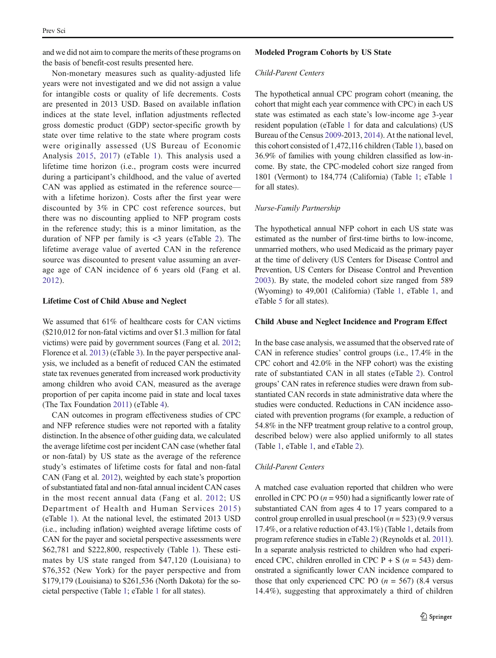and we did not aim to compare the merits of these programs on the basis of benefit-cost results presented here.

Non-monetary measures such as quality-adjusted life years were not investigated and we did not assign a value for intangible costs or quality of life decrements. Costs are presented in 2013 USD. Based on available inflation indices at the state level, inflation adjustments reflected gross domestic product (GDP) sector-specific growth by state over time relative to the state where program costs were originally assessed (US Bureau of Economic Analysis [2015,](#page-11-0) [2017\)](#page-11-0) (eTable 1). This analysis used a lifetime time horizon (i.e., program costs were incurred during a participant's childhood, and the value of averted CAN was applied as estimated in the reference source with a lifetime horizon). Costs after the first year were discounted by 3% in CPC cost reference sources, but there was no discounting applied to NFP program costs in the reference study; this is a minor limitation, as the duration of NFP per family is  $<3$  years (eTable 2). The lifetime average value of averted CAN in the reference source was discounted to present value assuming an average age of CAN incidence of 6 years old (Fang et al. [2012](#page-10-0)).

#### Lifetime Cost of Child Abuse and Neglect

We assumed that 61% of healthcare costs for CAN victims (\$210,012 for non-fatal victims and over \$1.3 million for fatal victims) were paid by government sources (Fang et al. [2012](#page-10-0); Florence et al. [2013](#page-10-0)) (eTable 3). In the payer perspective analysis, we included as a benefit of reduced CAN the estimated state tax revenues generated from increased work productivity among children who avoid CAN, measured as the average proportion of per capita income paid in state and local taxes (The Tax Foundation [2011](#page-11-0)) (eTable 4).

CAN outcomes in program effectiveness studies of CPC and NFP reference studies were not reported with a fatality distinction. In the absence of other guiding data, we calculated the average lifetime cost per incident CAN case (whether fatal or non-fatal) by US state as the average of the reference study's estimates of lifetime costs for fatal and non-fatal CAN (Fang et al. [2012\)](#page-10-0), weighted by each state's proportion of substantiated fatal and non-fatal annual incident CAN cases in the most recent annual data (Fang et al. [2012;](#page-10-0) US Department of Health and Human Services [2015\)](#page-11-0) (eTable 1). At the national level, the estimated 2013 USD (i.e., including inflation) weighted average lifetime costs of CAN for the payer and societal perspective assessments were \$62,781 and \$222,800, respectively (Table [1](#page-4-0)). These estimates by US state ranged from \$47,120 (Louisiana) to \$76,352 (New York) for the payer perspective and from \$179,179 (Louisiana) to \$261,536 (North Dakota) for the societal perspective (Table [1;](#page-4-0) eTable 1 for all states).

#### Modeled Program Cohorts by US State

#### Child-Parent Centers

The hypothetical annual CPC program cohort (meaning, the cohort that might each year commence with CPC) in each US state was estimated as each state's low-income age 3-year resident population (eTable 1 for data and calculations) (US Bureau of the Census [2009-](#page-11-0)2013, [2014\)](#page-11-0). At the national level, this cohort consisted of 1,472,116 children (Table [1\)](#page-4-0), based on 36.9% of families with young children classified as low-income. By state, the CPC-modeled cohort size ranged from 1801 (Vermont) to 184,774 (California) (Table [1](#page-4-0); eTable 1 for all states).

#### Nurse-Family Partnership

The hypothetical annual NFP cohort in each US state was estimated as the number of first-time births to low-income, unmarried mothers, who used Medicaid as the primary payer at the time of delivery (US Centers for Disease Control and Prevention, US Centers for Disease Control and Prevention [2003\)](#page-11-0). By state, the modeled cohort size ranged from 589 (Wyoming) to 49,001 (California) (Table [1](#page-4-0), eTable 1, and eTable 5 for all states).

#### Child Abuse and Neglect Incidence and Program Effect

In the base case analysis, we assumed that the observed rate of CAN in reference studies' control groups (i.e., 17.4% in the CPC cohort and 42.0% in the NFP cohort) was the existing rate of substantiated CAN in all states (eTable 2). Control groups' CAN rates in reference studies were drawn from substantiated CAN records in state administrative data where the studies were conducted. Reductions in CAN incidence associated with prevention programs (for example, a reduction of 54.8% in the NFP treatment group relative to a control group, described below) were also applied uniformly to all states (Table [1](#page-4-0), eTable 1, and eTable 2).

#### Child-Parent Centers

A matched case evaluation reported that children who were enrolled in CPC PO  $(n = 950)$  had a significantly lower rate of substantiated CAN from ages 4 to 17 years compared to a control group enrolled in usual preschool ( $n = 523$ ) (9.9 versus 17.4%, or a relative reduction of 43.1%) (Table [1,](#page-4-0) details from program reference studies in eTable 2) (Reynolds et al. [2011\)](#page-11-0). In a separate analysis restricted to children who had experienced CPC, children enrolled in CPC  $P + S$  ( $n = 543$ ) demonstrated a significantly lower CAN incidence compared to those that only experienced CPC PO  $(n = 567)$  (8.4 versus 14.4%), suggesting that approximately a third of children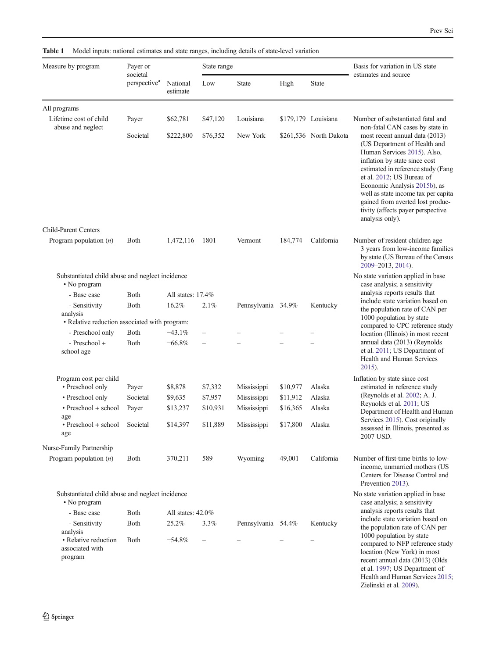<span id="page-4-0"></span>

|  |  | <b>Table 1</b> Model inputs: national estimates and state ranges, including details of state-level variation |  |
|--|--|--------------------------------------------------------------------------------------------------------------|--|
|--|--|--------------------------------------------------------------------------------------------------------------|--|

| Measure by program                                                              | Payer or<br>societal     |                      | State range |                    | Basis for variation in US state<br>estimates and source |                        |                                                                                                                                                                                                                                                                                                                                                                                                         |  |
|---------------------------------------------------------------------------------|--------------------------|----------------------|-------------|--------------------|---------------------------------------------------------|------------------------|---------------------------------------------------------------------------------------------------------------------------------------------------------------------------------------------------------------------------------------------------------------------------------------------------------------------------------------------------------------------------------------------------------|--|
|                                                                                 | perspective <sup>a</sup> | National<br>estimate | Low         | <b>State</b>       | High                                                    | <b>State</b>           |                                                                                                                                                                                                                                                                                                                                                                                                         |  |
| All programs                                                                    |                          |                      |             |                    |                                                         |                        |                                                                                                                                                                                                                                                                                                                                                                                                         |  |
| Lifetime cost of child                                                          | Payer                    | \$62,781             | \$47,120    | Louisiana          |                                                         | \$179,179 Louisiana    | Number of substantiated fatal and                                                                                                                                                                                                                                                                                                                                                                       |  |
| abuse and neglect                                                               | Societal                 | \$222,800            | \$76,352    | New York           |                                                         | \$261,536 North Dakota | non-fatal CAN cases by state in<br>most recent annual data (2013)<br>(US Department of Health and<br>Human Services 2015). Also,<br>inflation by state since cost<br>estimated in reference study (Fang<br>et al. 2012; US Bureau of<br>Economic Analysis 2015b), as<br>well as state income tax per capita<br>gained from averted lost produc-<br>tivity (affects payer perspective<br>analysis only). |  |
| <b>Child-Parent Centers</b>                                                     |                          |                      |             |                    |                                                         |                        |                                                                                                                                                                                                                                                                                                                                                                                                         |  |
| Program population $(n)$                                                        | <b>Both</b>              | 1,472,116            | 1801        | Vermont            | 184,774                                                 | California             | Number of resident children age<br>3 years from low-income families<br>by state (US Bureau of the Census<br>2009-2013, 2014).                                                                                                                                                                                                                                                                           |  |
| Substantiated child abuse and neglect incidence<br>• No program                 |                          |                      |             |                    |                                                         |                        | No state variation applied in base<br>case analysis; a sensitivity                                                                                                                                                                                                                                                                                                                                      |  |
| - Base case                                                                     | Both                     | All states: 17.4%    |             |                    |                                                         |                        | analysis reports results that                                                                                                                                                                                                                                                                                                                                                                           |  |
| - Sensitivity<br>analysis<br>• Relative reduction associated with program:      | Both                     | 16.2%                | 2.1%        | Pennsylvania 34.9% |                                                         | Kentucky               | include state variation based on<br>the population rate of CAN per<br>1000 population by state<br>compared to CPC reference study                                                                                                                                                                                                                                                                       |  |
| - Preschool only                                                                | <b>Both</b>              | $-43.1%$             |             |                    |                                                         |                        | location (Illinois) in most recent                                                                                                                                                                                                                                                                                                                                                                      |  |
| - Preschool +<br>school age                                                     | Both                     | $-66.8\%$            |             |                    |                                                         |                        | annual data (2013) (Reynolds<br>et al. 2011; US Department of<br>Health and Human Services<br>$2015$ ).                                                                                                                                                                                                                                                                                                 |  |
| Program cost per child<br>• Preschool only                                      | Payer                    | \$8,878              | \$7,332     | Mississippi        | \$10,977                                                | Alaska                 | Inflation by state since cost<br>estimated in reference study                                                                                                                                                                                                                                                                                                                                           |  |
| • Preschool only                                                                | Societal                 | \$9,635              | \$7,957     | Mississippi        | \$11,912                                                | Alaska                 | (Reynolds et al. 2002; A. J.                                                                                                                                                                                                                                                                                                                                                                            |  |
| $\cdot$ Preschool + school                                                      | Payer                    | \$13,237             | \$10,931    | Mississippi        | \$16,365                                                | Alaska                 | Reynolds et al. 2011; US<br>Department of Health and Human                                                                                                                                                                                                                                                                                                                                              |  |
| age<br>$\cdot$ Preschool + school<br>age                                        | Societal                 | \$14,397             | \$11,889    | Mississippi        | \$17,800                                                | Alaska                 | Services 2015). Cost originally<br>assessed in Illinois, presented as<br>2007 USD.                                                                                                                                                                                                                                                                                                                      |  |
| Nurse-Family Partnership                                                        |                          |                      |             |                    |                                                         |                        |                                                                                                                                                                                                                                                                                                                                                                                                         |  |
| Program population $(n)$                                                        | <b>Both</b>              | 370,211              | 589         | Wyoming            | 49,001                                                  | California             | Number of first-time births to low-<br>income, unmarried mothers (US<br>Centers for Disease Control and<br>Prevention 2013).                                                                                                                                                                                                                                                                            |  |
| Substantiated child abuse and neglect incidence<br>• No program                 |                          |                      |             |                    |                                                         |                        | No state variation applied in base<br>case analysis; a sensitivity                                                                                                                                                                                                                                                                                                                                      |  |
| - Base case                                                                     | <b>B</b> oth             | All states: 42.0%    |             |                    |                                                         |                        | analysis reports results that                                                                                                                                                                                                                                                                                                                                                                           |  |
| - Sensitivity<br>analysis<br>• Relative reduction<br>associated with<br>program | Both<br><b>Both</b>      | 25.2%<br>$-54.8%$    | 3.3%        | Pennsylvania 54.4% |                                                         | Kentucky               | include state variation based on<br>the population rate of CAN per<br>1000 population by state<br>compared to NFP reference study<br>location (New York) in most<br>recent annual data (2013) (Olds<br>et al. 1997; US Department of                                                                                                                                                                    |  |
|                                                                                 |                          |                      |             |                    |                                                         |                        | Health and Human Services 2015;<br>Zielinski et al. 2009).                                                                                                                                                                                                                                                                                                                                              |  |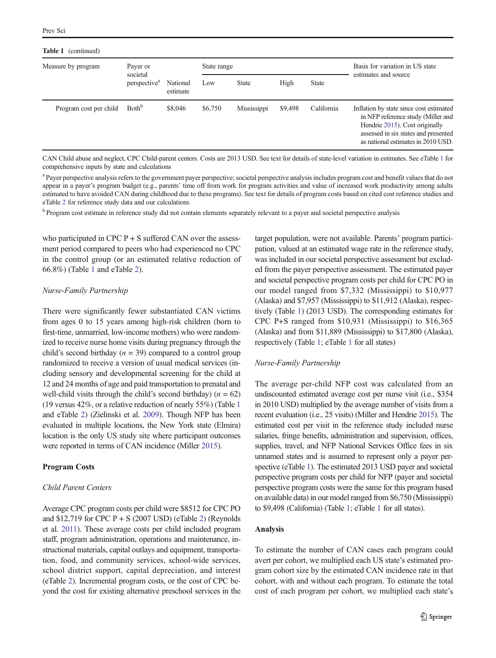#### Table 1 (continued)

| Measure by program     | Payer or<br>societal<br>perspective <sup>a</sup> | National<br>estimate | State range |              |         |              | Basis for variation in US state                                                                                                                                                               |
|------------------------|--------------------------------------------------|----------------------|-------------|--------------|---------|--------------|-----------------------------------------------------------------------------------------------------------------------------------------------------------------------------------------------|
|                        |                                                  |                      | Low         | <b>State</b> | High    | <b>State</b> | estimates and source                                                                                                                                                                          |
| Program cost per child | Both <sup>b</sup>                                | \$8,046              | \$6,750     | Mississippi  | \$9,498 | California   | Inflation by state since cost estimated<br>in NFP reference study (Miller and<br>Hendrie 2015). Cost originally<br>assessed in six states and presented<br>as national estimates in 2010 USD. |

CAN Child abuse and neglect, CPC Child-parent centers. Costs are 2013 USD. See text for details of state-level variation in estimates. See eTable 1 for comprehensive inputs by state and calculations

<sup>a</sup> Payer perspective analysis refers to the government payer perspective; societal perspective analysis includes program cost and benefit values that do not appear in a payer's program budget (e.g., parents' time off from work for program activities and value of increased work productivity among adults estimated to have avoided CAN during childhood due to these programs). See text for details of program costs based on cited cost reference studies and eTable 2 for reference study data and our calculations

<sup>b</sup> Program cost estimate in reference study did not contain elements separately relevant to a payer and societal perspective analysis

who participated in CPC  $P + S$  suffered CAN over the assessment period compared to peers who had experienced no CPC in the control group (or an estimated relative reduction of 66.8%) (Table [1](#page-4-0) and eTable 2).

#### Nurse-Family Partnership

There were significantly fewer substantiated CAN victims from ages 0 to 15 years among high-risk children (born to first-time, unmarried, low-income mothers) who were randomized to receive nurse home visits during pregnancy through the child's second birthday ( $n = 39$ ) compared to a control group randomized to receive a version of usual medical services (including sensory and developmental screening for the child at 12 and 24 months of age and paid transportation to prenatal and well-child visits through the child's second birthday) ( $n = 62$ ) (19 versus 42%, or a relative reduction of nearly 55%) (Table [1](#page-4-0) and eTable 2) (Zielinski et al. [2009\)](#page-11-0). Though NFP has been evaluated in multiple locations, the New York state (Elmira) location is the only US study site where participant outcomes were reported in terms of CAN incidence (Miller [2015](#page-11-0)).

#### Program Costs

#### Child Parent Centers

Average CPC program costs per child were \$8512 for CPC PO and  $$12,719$  for CPC P + S (2007 USD) (eTable 2) (Reynolds et al. [2011\)](#page-11-0). These average costs per child included program staff, program administration, operations and maintenance, instructional materials, capital outlays and equipment, transportation, food, and community services, school-wide services, school district support, capital depreciation, and interest (eTable 2). Incremental program costs, or the cost of CPC beyond the cost for existing alternative preschool services in the target population, were not available. Parents' program participation, valued at an estimated wage rate in the reference study, was included in our societal perspective assessment but excluded from the payer perspective assessment. The estimated payer and societal perspective program costs per child for CPC PO in our model ranged from \$7,332 (Mississippi) to \$10,977 (Alaska) and \$7,957 (Mississippi) to \$11,912 (Alaska), respectively (Table [1\)](#page-4-0) (2013 USD). The corresponding estimates for CPC P+S ranged from \$10,931 (Mississippi) to \$16,365 (Alaska) and from \$11,889 (Mississippi) to \$17,800 (Alaska), respectively (Table [1](#page-4-0); eTable [1](#page-4-0) for all states)

#### Nurse-Family Partnership

The average per-child NFP cost was calculated from an undiscounted estimated average cost per nurse visit (i.e., \$354 in 2010 USD) multiplied by the average number of visits from a recent evaluation (i.e., 25 visits) (Miller and Hendrie [2015\)](#page-11-0). The estimated cost per visit in the reference study included nurse salaries, fringe benefits, administration and supervision, offices, supplies, travel, and NFP National Services Office fees in six unnamed states and is assumed to represent only a payer perspective (eTable 1). The estimated 2013 USD payer and societal perspective program costs per child for NFP (payer and societal perspective program costs were the same for this program based on available data) in our model ranged from \$6,750 (Mississippi) to \$9,498 (California) (Table [1;](#page-4-0) eTable 1 for all states).

#### Analysis

To estimate the number of CAN cases each program could avert per cohort, we multiplied each US state's estimated program cohort size by the estimated CAN incidence rate in that cohort, with and without each program. To estimate the total cost of each program per cohort, we multiplied each state's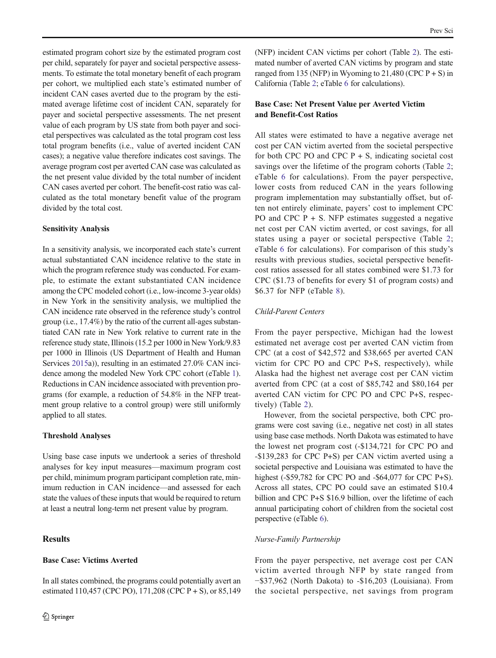estimated program cohort size by the estimated program cost per child, separately for payer and societal perspective assessments. To estimate the total monetary benefit of each program per cohort, we multiplied each state's estimated number of incident CAN cases averted due to the program by the estimated average lifetime cost of incident CAN, separately for payer and societal perspective assessments. The net present value of each program by US state from both payer and societal perspectives was calculated as the total program cost less total program benefits (i.e., value of averted incident CAN cases); a negative value therefore indicates cost savings. The average program cost per averted CAN case was calculated as the net present value divided by the total number of incident CAN cases averted per cohort. The benefit-cost ratio was calculated as the total monetary benefit value of the program divided by the total cost.

#### Sensitivity Analysis

In a sensitivity analysis, we incorporated each state's current actual substantiated CAN incidence relative to the state in which the program reference study was conducted. For example, to estimate the extant substantiated CAN incidence among the CPC modeled cohort (i.e., low-income 3-year olds) in New York in the sensitivity analysis, we multiplied the CAN incidence rate observed in the reference study's control group (i.e., 17.4%) by the ratio of the current all-ages substantiated CAN rate in New York relative to current rate in the reference study state, Illinois (15.2 per 1000 in New York/9.83 per 1000 in Illinois (US Department of Health and Human Services [2015a](#page-11-0))), resulting in an estimated 27.0% CAN incidence among the modeled New York CPC cohort (eTable 1). Reductions in CAN incidence associated with prevention programs (for example, a reduction of 54.8% in the NFP treatment group relative to a control group) were still uniformly applied to all states.

#### Threshold Analyses

Using base case inputs we undertook a series of threshold analyses for key input measures—maximum program cost per child, minimum program participant completion rate, minimum reduction in CAN incidence—and assessed for each state the values of these inputs that would be required to return at least a neutral long-term net present value by program.

In all states combined, the programs could potentially avert an estimated 110,457 (CPC PO), 171,208 (CPC P + S), or 85,149

### **Results**

#### Base Case: Victims Averted

(NFP) incident CAN victims per cohort (Table [2](#page-7-0)). The estimated number of averted CAN victims by program and state ranged from 135 (NFP) in Wyoming to  $21,480$  (CPC P + S) in California (Table [2;](#page-7-0) eTable 6 for calculations).

#### Base Case: Net Present Value per Averted Victim and Benefit-Cost Ratios

All states were estimated to have a negative average net cost per CAN victim averted from the societal perspective for both CPC PO and CPC  $P + S$ , indicating societal cost savings over the lifetime of the program cohorts (Table [2;](#page-7-0) eTable 6 for calculations). From the payer perspective, lower costs from reduced CAN in the years following program implementation may substantially offset, but often not entirely eliminate, payers' cost to implement CPC PO and CPC  $P + S$ . NFP estimates suggested a negative net cost per CAN victim averted, or cost savings, for all states using a payer or societal perspective (Table [2;](#page-7-0) eTable 6 for calculations). For comparison of this study's results with previous studies, societal perspective benefitcost ratios assessed for all states combined were \$1.73 for CPC (\$1.73 of benefits for every \$1 of program costs) and \$6.37 for NFP (eTable 8).

#### Child-Parent Centers

From the payer perspective, Michigan had the lowest estimated net average cost per averted CAN victim from CPC (at a cost of \$42,572 and \$38,665 per averted CAN victim for CPC PO and CPC P+S, respectively), while Alaska had the highest net average cost per CAN victim averted from CPC (at a cost of \$85,742 and \$80,164 per averted CAN victim for CPC PO and CPC P+S, respectively) (Table [2](#page-7-0)).

However, from the societal perspective, both CPC programs were cost saving (i.e., negative net cost) in all states using base case methods. North Dakota was estimated to have the lowest net program cost (-\$134,721 for CPC PO and -\$139,283 for CPC P+S) per CAN victim averted using a societal perspective and Louisiana was estimated to have the highest (-\$59,782 for CPC PO and -\$64,077 for CPC P+S). Across all states, CPC PO could save an estimated \$10.4 billion and CPC P+S \$16.9 billion, over the lifetime of each annual participating cohort of children from the societal cost perspective (eTable 6).

#### Nurse-Family Partnership

From the payer perspective, net average cost per CAN victim averted through NFP by state ranged from −\$37,962 (North Dakota) to -\$16,203 (Louisiana). From the societal perspective, net savings from program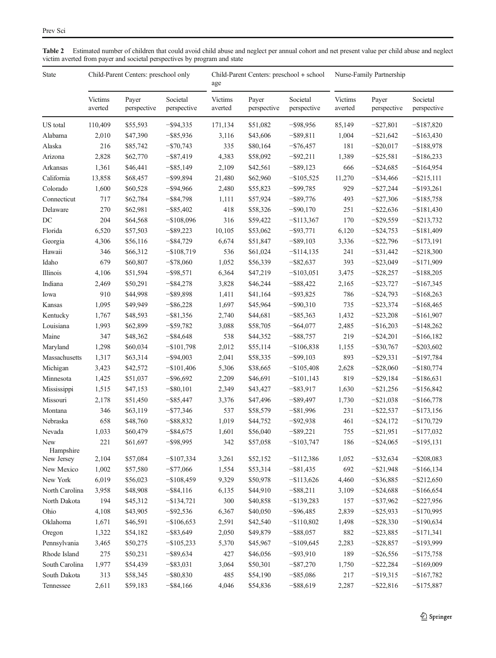<span id="page-7-0"></span>

| Table 2 Estimated number of children that could avoid child abuse and neglect per annual cohort and net present value per child abuse and neglect |
|---------------------------------------------------------------------------------------------------------------------------------------------------|
| victim averted from payer and societal perspectives by program and state                                                                          |

| State            | Child-Parent Centers: preschool only |                      |                         | age                | Child-Parent Centers: preschool + school |                         | Nurse-Family Partnership |                      |                         |
|------------------|--------------------------------------|----------------------|-------------------------|--------------------|------------------------------------------|-------------------------|--------------------------|----------------------|-------------------------|
|                  | Victims<br>averted                   | Payer<br>perspective | Societal<br>perspective | Victims<br>averted | Payer<br>perspective                     | Societal<br>perspective | Victims<br>averted       | Payer<br>perspective | Societal<br>perspective |
| US total         | 110,409                              | \$55,593             | $-$ \$94,335            | 171,134            | \$51,082                                 | $-$ \$98,956            | 85,149                   | $-$ \$27,801         | $-$187,820$             |
| Alabama          | 2,010                                | \$47,390             | $-$ \$85,936            | 3,116              | \$43,606                                 | $-$ \$89,811            | 1,004                    | $-$ \$21,642         | $-$163,430$             |
| Alaska           | 216                                  | \$85,742             | $-$ \$70,743            | 335                | \$80,164                                 | $-$ \$76,457            | 181                      | $-$ \$20,017         | $-$ \$188,978           |
| Arizona          | 2,828                                | \$62,770             | $-$ \$87,419            | 4,383              | \$58,092                                 | $-$ \$92,211            | 1,389                    | $-$ \$25,581         | $-$ \$186,233           |
| Arkansas         | 1,361                                | \$46,441             | $-$ \$85,149            | 2,109              | \$42,561                                 | $-$ \$89,123            | 666                      | $-$ \$24,685         | $-$164,954$             |
| California       | 13,858                               | \$68,457             | $-$ \$99,894            | 21,480             | \$62,960                                 | $-$ \$105,525           | 11,270                   | $-$ \$34,466         | $-$ \$215,111           |
| Colorado         | 1,600                                | \$60,528             | $-$ \$94,966            | 2,480              | \$55,823                                 | $-$ \$99,785            | 929                      | $-$ \$27,244         | $-$ \$193,261           |
| Connecticut      | 717                                  | \$62,784             | $-$ \$84,798            | 1,111              | \$57,924                                 | $-$ \$89,776            | 493                      | $-$ \$27,306         | $-$ \$185,758           |
| Delaware         | 270                                  | \$62,981             | $-$ \$85,402            | 418                | \$58,326                                 | $-$ \$90,170            | 251                      | $-$ \$22,636         | $-$ \$181,430           |
| DC               | 204                                  | \$64,568             | $-$108,096$             | 316                | \$59,422                                 | $-$ \$113,367           | 170                      | $-$ \$29,559         | $-$ \$213,732           |
| Florida          | 6,520                                | \$57,503             | $-$ \$89,223            | 10,105             | \$53,062                                 | $-$ \$93,771            | 6,120                    | $-$ \$24,753         | $-$ \$181,409           |
| Georgia          | 4,306                                | \$56,116             | $-$ \$84,729            | 6,674              | \$51,847                                 | $-$ \$89,103            | 3,336                    | $-$ \$22,796         | $-$ \$173,191           |
| Hawaii           | 346                                  | \$66,312             | $-$108,719$             | 536                | \$61,024                                 | $-$ \$114,135           | 241                      | $-$ \$31,442         | $-$ \$218,300           |
| Idaho            | 679                                  | \$60,807             | $-$ \$78,060            | 1,052              | \$56,339                                 | $-$ \$82,637            | 393                      | $-$ \$23,049         | $-$ \$171,909           |
| Illinois         | 4,106                                | \$51,594             | $-$ \$98,571            | 6,364              | \$47,219                                 | $-$ \$103,051           | 3,475                    | $-$ \$28,257         | $-$ \$188,205           |
| Indiana          | 2,469                                | \$50,291             | $-$ \$84,278            | 3,828              | \$46,244                                 | $-$ \$88,422            | 2,165                    | $-$ \$23,727         | $-$167,345$             |
| Iowa             | 910                                  | \$44,998             | $-$ \$89,898            | 1,411              | \$41,164                                 | $-$ \$93,825            | 786                      | $-$ \$24,793         | $-$ \$168,263           |
| Kansas           | 1,095                                | \$49,949             | $-$ \$86,228            | 1,697              | \$45,964                                 | $-$ \$90,310            | 735                      | $-$ \$23,374         | $-$ \$168,465           |
| Kentucky         | 1,767                                | \$48,593             | $-$ \$81,356            | 2,740              | \$44,681                                 | $-$ \$85,363            | 1,432                    | $-$ \$23,208         | $-$ \$161,907           |
| Louisiana        | 1,993                                | \$62,899             | $-$ \$59,782            | 3,088              | \$58,705                                 | $-$ \$64,077            | 2,485                    | $-$16,203$           | $-$ \$148,262           |
| Maine            | 347                                  | \$48,362             | $-$ \$84,648            | 538                | \$44,352                                 | $-$ \$88,757            | 219                      | $-$ \$24,201         | $-$ \$166,182           |
| Maryland         | 1,298                                | \$60,034             | $-$ \$101,798           | 2,012              | \$55,114                                 | $-$ \$106,838           | 1,155                    | $-$ \$30,767         | $-$ \$203,602           |
| Massachusetts    | 1,317                                | \$63,314             | $-$ \$94,003            | 2,041              | \$58,335                                 | $-$ \$99,103            | 893                      | $-$ \$29,331         | $-$ \$197,784           |
| Michigan         | 3,423                                | \$42,572             | $-$101,406$             | 5,306              | \$38,665                                 | $-$ \$105,408           | 2,628                    | $-$ \$28,060         | $-$180,774$             |
| Minnesota        |                                      |                      | $-$ \$96,692            | 2,209              | \$46,691                                 | $-$ \$101,143           | 819                      | $-$ \$29,184         | $-$ \$186,631           |
|                  | 1,425                                | \$51,037             |                         |                    |                                          |                         |                          |                      |                         |
| Mississippi      | 1,515                                | \$47,153             | $-$ \$80,101            | 2,349              | \$43,427                                 | $-$ \$83,917            | 1,630                    | $-$ \$21,256         | $-$ \$156,842           |
| Missouri         | 2,178                                | \$51,450             | $-$ \$85,447            | 3,376              | \$47,496                                 | $-$ \$89,497            | 1,730                    | $-$ \$21,038         | $-$ \$166,778           |
| Montana          | 346                                  | \$63,119             | $-$ \$77,346            | 537                | \$58,579                                 | $-$ \$81,996            | 231                      | $-$ \$22,537         | $-$ \$173,156           |
| Nebraska         | 658                                  | \$48,760             | $-$ \$88,832            | 1,019              | \$44,752                                 | $-$ \$92,938            | 461                      | $-$ \$24,172         | $-$ \$170,729           |
| Nevada           | 1,033                                | \$60,479             | $-$ \$84,675            | 1,601              | \$56,040                                 | $-$ \$89,221            | 755                      | $-$ \$21,951         | $-$177,032$             |
| New<br>Hampshire | 221                                  | \$61,697             | $-$ \$98,995            | 342                | \$57,058                                 | $-$ \$103,747           | 186                      | $-$ \$24,065         | $-$ \$195,131           |
| New Jersey       | 2,104                                | \$57,084             | $-$107,334$             | 3,261              | \$52,152                                 | $-$ \$112,386           | 1,052                    | $-$ \$32,634         | $-$ \$208,083           |
| New Mexico       | 1,002                                | \$57,580             | $-$77,066$              | 1,554              | \$53,314                                 | $-$ \$81,435            | 692                      | $-$ \$21,948         | $-$ \$166,134           |
| New York         | 6,019                                | \$56,023             | $-$ \$108,459           | 9,329              | \$50,978                                 | $-$ \$113,626           | 4,460                    | $-$ \$36,885         | $-$ \$212,650           |
| North Carolina   | 3,958                                | \$48,908             | $-$ \$84,116            | 6,135              | \$44,910                                 | $-$ \$88,211            | 3,109                    | $-$ \$24,688         | $-$ \$166,654           |
| North Dakota     | 194                                  | \$45,312             | $-$ \$134,721           | 300                | \$40,858                                 | $-$ \$139,283           | 157                      | $-$ \$37,962         | $-$ \$227,956           |
| Ohio             | 4,108                                | \$43,905             | $-$ \$92,536            | 6,367              | \$40,050                                 | $-$ \$96,485            | 2,839                    | $-$ \$25,933         | $-$ \$170,995           |
| Oklahoma         | 1,671                                | \$46,591             | $-$ \$106,653           | 2,591              | \$42,540                                 | $-$ \$110,802           | 1,498                    | $-$ \$28,330         | $-$ \$190,634           |
| Oregon           | 1,322                                | \$54,182             | $-$ \$83,649            | 2,050              | \$49,879                                 | $-$ \$88,057            | 882                      | $-$ \$23,885         | $-$ \$171,341           |
| Pennsylvania     | 3,465                                | \$50,275             | $-$ \$105,233           | 5,370              | \$45,967                                 | $-$ \$109,645           | 2,283                    | $-$ \$28,857         | $-$ \$193,999           |
| Rhode Island     | 275                                  | \$50,231             | $-$ \$89,634            | 427                | \$46,056                                 | $-$ \$93,910            | 189                      | $-$ \$26,556         | $-$ \$175,758           |
| South Carolina   | 1,977                                | \$54,439             | $-$ \$83,031            | 3,064              | \$50,301                                 | $-$ \$87,270            | 1,750                    | $-$ \$22,284         | $-$ \$169,009           |
| South Dakota     | 313                                  | \$58,345             | $-$ \$80,830            | 485                | \$54,190                                 | $-$ \$85,086            | 217                      | $-$ \$19,315         | $-$ \$167,782           |
| Tennessee        | 2,611                                | \$59,183             | $-$ \$84,166            | 4,046              | \$54,836                                 | $-$ \$88,619            | 2,287                    | $-$ \$22,816         | $-$ \$175,887           |
|                  |                                      |                      |                         |                    |                                          |                         |                          |                      |                         |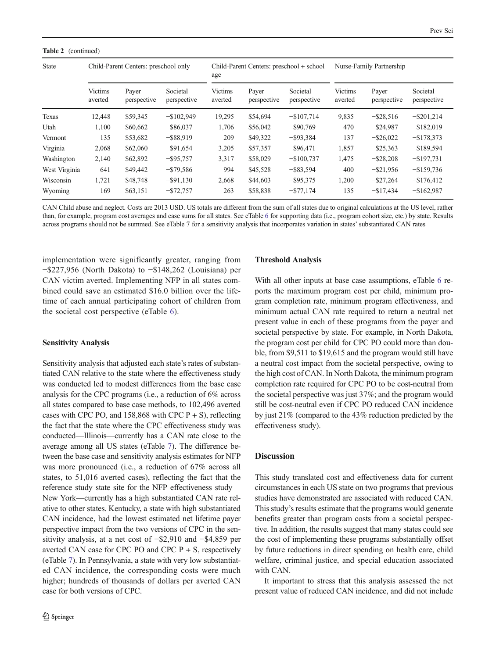#### Table 2 (continued)

| <b>State</b>  |                           | Child-Parent Centers: preschool only |                         | age                       | Child-Parent Centers: preschool + school |                         | Nurse-Family Partnership  |                      |                         |
|---------------|---------------------------|--------------------------------------|-------------------------|---------------------------|------------------------------------------|-------------------------|---------------------------|----------------------|-------------------------|
|               | <b>Victims</b><br>averted | Payer<br>perspective                 | Societal<br>perspective | <b>Victims</b><br>averted | Payer<br>perspective                     | Societal<br>perspective | <b>Victims</b><br>averted | Payer<br>perspective | Societal<br>perspective |
| Texas         | 12,448                    | \$59,345                             | $-$ \$102,949           | 19,295                    | \$54,694                                 | $-$107,714$             | 9,835                     | $-$ \$28,516         | $-$ \$201,214           |
| Utah          | 1,100                     | \$60,662                             | $-$ \$86,037            | 1,706                     | \$56,042                                 | $-$ \$90,769            | 470                       | $-$ \$24,987         | $-$ \$182,019           |
| Vermont       | 135                       | \$53,682                             | $-$ \$88,919            | 209                       | \$49,322                                 | $-$ \$93,384            | 137                       | $-$ \$26,022         | $-$ \$178,373           |
| Virginia      | 2,068                     | \$62,060                             | $-$ \$91,654            | 3,205                     | \$57,357                                 | $-$ \$96,471            | 1,857                     | $-$ \$25,363         | $-$ \$189,594           |
| Washington    | 2,140                     | \$62,892                             | $-$ \$95,757            | 3,317                     | \$58,029                                 | $-$100,737$             | 1,475                     | $-$ \$28,208         | $-$ \$197,731           |
| West Virginia | 641                       | \$49,442                             | $-$ \$79,586            | 994                       | \$45,528                                 | $-$ \$83,594            | 400                       | $-$ \$21,956         | $-$ \$159,736           |
| Wisconsin     | 1,721                     | \$48,748                             | $-$ \$91,130            | 2,668                     | \$44,603                                 | $-$ \$95,375            | 1,200                     | $-$ \$27,264         | $-$ \$176,412           |
| Wyoming       | 169                       | \$63,151                             | $-$ \$72,757            | 263                       | \$58,838                                 | $-$ \$77,174            | 135                       | $-$ \$17,434         | $-$ \$162,987           |

CAN Child abuse and neglect. Costs are 2013 USD. US totals are different from the sum of all states due to original calculations at the US level, rather than, for example, program cost averages and case sums for all states. See eTable 6 for supporting data (i.e., program cohort size, etc.) by state. Results across programs should not be summed. See eTable 7 for a sensitivity analysis that incorporates variation in states' substantiated CAN rates

implementation were significantly greater, ranging from −\$227,956 (North Dakota) to −\$148,262 (Louisiana) per CAN victim averted. Implementing NFP in all states combined could save an estimated \$16.0 billion over the lifetime of each annual participating cohort of children from the societal cost perspective (eTable 6).

#### Sensitivity Analysis

Sensitivity analysis that adjusted each state's rates of substantiated CAN relative to the state where the effectiveness study was conducted led to modest differences from the base case analysis for the CPC programs (i.e., a reduction of 6% across all states compared to base case methods, to 102,496 averted cases with CPC PO, and  $158,868$  with CPC P + S), reflecting the fact that the state where the CPC effectiveness study was conducted—Illinois—currently has a CAN rate close to the average among all US states (eTable 7). The difference between the base case and sensitivity analysis estimates for NFP was more pronounced (i.e., a reduction of 67% across all states, to 51,016 averted cases), reflecting the fact that the reference study state site for the NFP effectiveness study— New York—currently has a high substantiated CAN rate relative to other states. Kentucky, a state with high substantiated CAN incidence, had the lowest estimated net lifetime payer perspective impact from the two versions of CPC in the sensitivity analysis, at a net cost of −\$2,910 and −\$4,859 per averted CAN case for CPC PO and CPC  $P + S$ , respectively (eTable 7). In Pennsylvania, a state with very low substantiated CAN incidence, the corresponding costs were much higher; hundreds of thousands of dollars per averted CAN case for both versions of CPC.

#### Threshold Analysis

With all other inputs at base case assumptions, eTable 6 reports the maximum program cost per child, minimum program completion rate, minimum program effectiveness, and minimum actual CAN rate required to return a neutral net present value in each of these programs from the payer and societal perspective by state. For example, in North Dakota, the program cost per child for CPC PO could more than double, from \$9,511 to \$19,615 and the program would still have a neutral cost impact from the societal perspective, owing to the high cost of CAN. In North Dakota, the minimum program completion rate required for CPC PO to be cost-neutral from the societal perspective was just 37%; and the program would still be cost-neutral even if CPC PO reduced CAN incidence by just 21% (compared to the 43% reduction predicted by the effectiveness study).

#### **Discussion**

This study translated cost and effectiveness data for current circumstances in each US state on two programs that previous studies have demonstrated are associated with reduced CAN. This study's results estimate that the programs would generate benefits greater than program costs from a societal perspective. In addition, the results suggest that many states could see the cost of implementing these programs substantially offset by future reductions in direct spending on health care, child welfare, criminal justice, and special education associated with CAN.

It important to stress that this analysis assessed the net present value of reduced CAN incidence, and did not include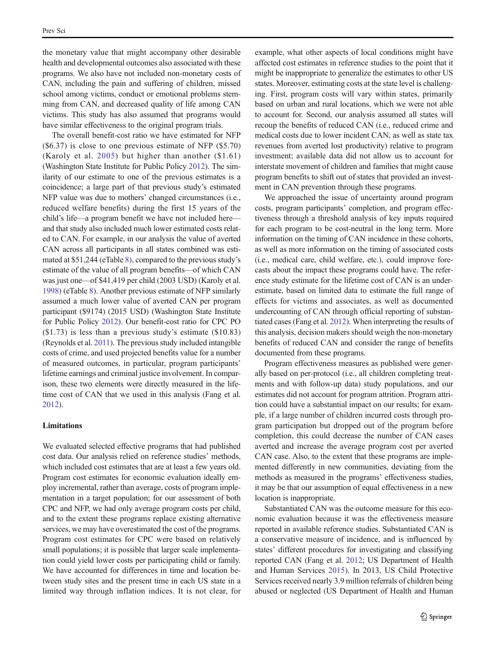the monetary value that might accompany other desirable health and developmental outcomes also associated with these programs. We also have not included non-monetary costs of CAN, including the pain and suffering of children, missed school among victims, conduct or emotional problems stemming from CAN, and decreased quality of life among CAN victims. This study has also assumed that programs would have similar effectiveness to the original program trials.

The overall benefit-cost ratio we have estimated for NFP (\$6.37) is close to one previous estimate of NFP (\$5.70) (Karoly et al. [2005\)](#page-11-0) but higher than another (\$1.61) (Washington State Institute for Public Policy [2012](#page-11-0)). The similarity of our estimate to one of the previous estimates is a coincidence; a large part of that previous study's estimated NFP value was due to mothers' changed circumstances (i.e., reduced welfare benefits) during the first 15 years of the child's life—a program benefit we have not included here and that study also included much lower estimated costs related to CAN. For example, in our analysis the value of averted CAN across all participants in all states combined was estimated at \$51,244 (eTable 8), compared to the previous study's estimate of the value of all program benefits—of which CAN was just one—of \$41,419 per child (2003 USD) (Karoly et al. [1998\)](#page-11-0) (eTable 8). Another previous estimate of NFP similarly assumed a much lower value of averted CAN per program participant (\$9174) (2015 USD) (Washington State Institute for Public Policy [2012\)](#page-11-0). Our benefit-cost ratio for CPC PO (\$1.73) is less than a previous study's estimate (\$10.83) (Reynolds et al. [2011](#page-11-0)). The previous study included intangible costs of crime, and used projected benefits value for a number of measured outcomes, in particular, program participants' lifetime earnings and criminal justice involvement. In comparison, these two elements were directly measured in the lifetime cost of CAN that we used in this analysis (Fang et al. [2012\)](#page-10-0).

#### Limitations

We evaluated selected effective programs that had published cost data. Our analysis relied on reference studies' methods, which included cost estimates that are at least a few years old. Program cost estimates for economic evaluation ideally employ incremental, rather than average, costs of program implementation in a target population; for our assessment of both CPC and NFP, we had only average program costs per child, and to the extent these programs replace existing alternative services, we may have overestimated the cost of the programs. Program cost estimates for CPC were based on relatively small populations; it is possible that larger scale implementation could yield lower costs per participating child or family. We have accounted for differences in time and location between study sites and the present time in each US state in a limited way through inflation indices. It is not clear, for example, what other aspects of local conditions might have affected cost estimates in reference studies to the point that it might be inappropriate to generalize the estimates to other US states. Moreover, estimating costs at the state level is challenging. First, program costs will vary within states, primarily based on urban and rural locations, which we were not able to account for. Second, our analysis assumed all states will recoup the benefits of reduced CAN (i.e., reduced crime and medical costs due to lower incident CAN, as well as state tax revenues from averted lost productivity) relative to program investment; available data did not allow us to account for interstate movement of children and families that might cause program benefits to shift out of states that provided an investment in CAN prevention through these programs.

We approached the issue of uncertainty around program costs, program participants' completion, and program effectiveness through a threshold analysis of key inputs required for each program to be cost-neutral in the long term. More information on the timing of CAN incidence in these cohorts, as well as more information on the timing of associated costs (i.e., medical care, child welfare, etc.), could improve forecasts about the impact these programs could have. The reference study estimate for the lifetime cost of CAN is an underestimate, based on limited data to estimate the full range of effects for victims and associates, as well as documented undercounting of CAN through official reporting of substantiated cases (Fang et al. [2012\)](#page-10-0). When interpreting the results of this analysis, decision makers should weigh the non-monetary benefits of reduced CAN and consider the range of benefits documented from these programs.

Program effectiveness measures as published were generally based on per-protocol (i.e., all children completing treatments and with follow-up data) study populations, and our estimates did not account for program attrition. Program attrition could have a substantial impact on our results; for example, if a large number of children incurred costs through program participation but dropped out of the program before completion, this could decrease the number of CAN cases averted and increase the average program cost per averted CAN case. Also, to the extent that these programs are implemented differently in new communities, deviating from the methods as measured in the programs' effectiveness studies, it may be that our assumption of equal effectiveness in a new location is inappropriate.

Substantiated CAN was the outcome measure for this economic evaluation because it was the effectiveness measure reported in available reference studies. Substantiated CAN is a conservative measure of incidence, and is influenced by states' different procedures for investigating and classifying reported CAN (Fang et al. [2012](#page-10-0); US Department of Health and Human Services [2015](#page-11-0)). In 2013, US Child Protective Services received nearly 3.9 million referrals of children being abused or neglected (US Department of Health and Human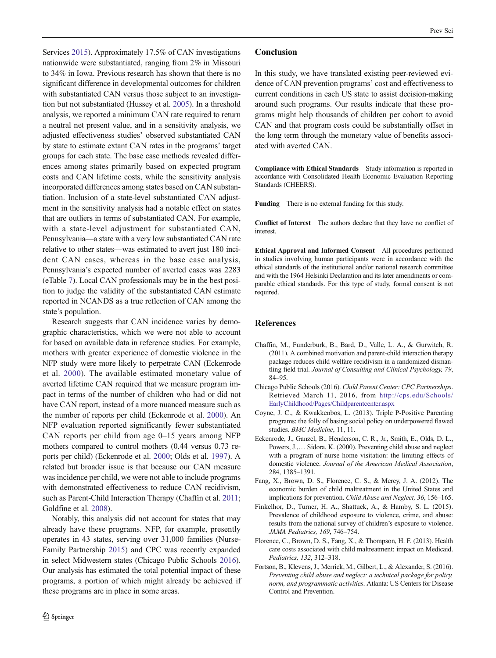<span id="page-10-0"></span>Services [2015\)](#page-11-0). Approximately 17.5% of CAN investigations nationwide were substantiated, ranging from 2% in Missouri to 34% in Iowa. Previous research has shown that there is no significant difference in developmental outcomes for children with substantiated CAN versus those subject to an investigation but not substantiated (Hussey et al. [2005](#page-11-0)). In a threshold analysis, we reported a minimum CAN rate required to return a neutral net present value, and in a sensitivity analysis, we adjusted effectiveness studies' observed substantiated CAN by state to estimate extant CAN rates in the programs' target groups for each state. The base case methods revealed differences among states primarily based on expected program costs and CAN lifetime costs, while the sensitivity analysis incorporated differences among states based on CAN substantiation. Inclusion of a state-level substantiated CAN adjustment in the sensitivity analysis had a notable effect on states that are outliers in terms of substantiated CAN. For example, with a state-level adjustment for substantiated CAN, Pennsylvania—a state with a very low substantiated CAN rate relative to other states—was estimated to avert just 180 incident CAN cases, whereas in the base case analysis, Pennsylvania's expected number of averted cases was 2283 (eTable 7). Local CAN professionals may be in the best position to judge the validity of the substantiated CAN estimate reported in NCANDS as a true reflection of CAN among the state's population.

Research suggests that CAN incidence varies by demographic characteristics, which we were not able to account for based on available data in reference studies. For example, mothers with greater experience of domestic violence in the NFP study were more likely to perpetrate CAN (Eckenrode et al. 2000). The available estimated monetary value of averted lifetime CAN required that we measure program impact in terms of the number of children who had or did not have CAN report, instead of a more nuanced measure such as the number of reports per child (Eckenrode et al. 2000). An NFP evaluation reported significantly fewer substantiated CAN reports per child from age 0–15 years among NFP mothers compared to control mothers (0.44 versus 0.73 reports per child) (Eckenrode et al. 2000; Olds et al. [1997](#page-11-0)). A related but broader issue is that because our CAN measure was incidence per child, we were not able to include programs with demonstrated effectiveness to reduce CAN recidivism, such as Parent-Child Interaction Therapy (Chaffin et al. 2011; Goldfine et al. [2008](#page-11-0)).

Notably, this analysis did not account for states that may already have these programs. NFP, for example, presently operates in 43 states, serving over 31,000 families (Nurse-Family Partnership [2015](#page-11-0)) and CPC was recently expanded in select Midwestern states (Chicago Public Schools 2016). Our analysis has estimated the total potential impact of these programs, a portion of which might already be achieved if these programs are in place in some areas.

#### Conclusion

In this study, we have translated existing peer-reviewed evidence of CAN prevention programs' cost and effectiveness to current conditions in each US state to assist decision-making around such programs. Our results indicate that these programs might help thousands of children per cohort to avoid CAN and that program costs could be substantially offset in the long term through the monetary value of benefits associated with averted CAN.

Compliance with Ethical Standards Study information is reported in accordance with Consolidated Health Economic Evaluation Reporting Standards (CHEERS).

Funding There is no external funding for this study.

Conflict of Interest The authors declare that they have no conflict of **interest** 

Ethical Approval and Informed Consent All procedures performed in studies involving human participants were in accordance with the ethical standards of the institutional and/or national research committee and with the 1964 Helsinki Declaration and its later amendments or comparable ethical standards. For this type of study, formal consent is not required.

#### **References**

- Chaffin, M., Funderburk, B., Bard, D., Valle, L. A., & Gurwitch, R. (2011). A combined motivation and parent-child interaction therapy package reduces child welfare recidivism in a randomized dismantling field trial. Journal of Consulting and Clinical Psychology, 79, 84–95.
- Chicago Public Schools (2016). Child Parent Center: CPC Partnerships. Retrieved March 11, 2016, from [http://cps.edu/Schools/](http://cps.edu/Schools/EarlyChildhood/Pages/Childparentcenter.aspx) [EarlyChildhood/Pages/Childparentcenter.aspx](http://cps.edu/Schools/EarlyChildhood/Pages/Childparentcenter.aspx)
- Coyne, J. C., & Kwakkenbos, L. (2013). Triple P-Positive Parenting programs: the folly of basing social policy on underpowered flawed studies. BMC Medicine, 11, 11.
- Eckenrode, J., Ganzel, B., Henderson, C. R., Jr., Smith, E., Olds, D. L., Powers, J.,… Sidora, K. (2000). Preventing child abuse and neglect with a program of nurse home visitation: the limiting effects of domestic violence. Journal of the American Medical Association, 284, 1385–1391.
- Fang, X., Brown, D. S., Florence, C. S., & Mercy, J. A. (2012). The economic burden of child maltreatment in the United States and implications for prevention. Child Abuse and Neglect, 36, 156–165.
- Finkelhor, D., Turner, H. A., Shattuck, A., & Hamby, S. L. (2015). Prevalence of childhood exposure to violence, crime, and abuse: results from the national survey of children's exposure to violence. JAMA Pediatrics, 169, 746–754.
- Florence, C., Brown, D. S., Fang, X., & Thompson, H. F. (2013). Health care costs associated with child maltreatment: impact on Medicaid. Pediatrics, 132, 312–318.
- Fortson, B., Klevens, J., Merrick, M., Gilbert, L., & Alexander, S. (2016). Preventing child abuse and neglect: a technical package for policy, norm, and programmatic activities. Atlanta: US Centers for Disease Control and Prevention.